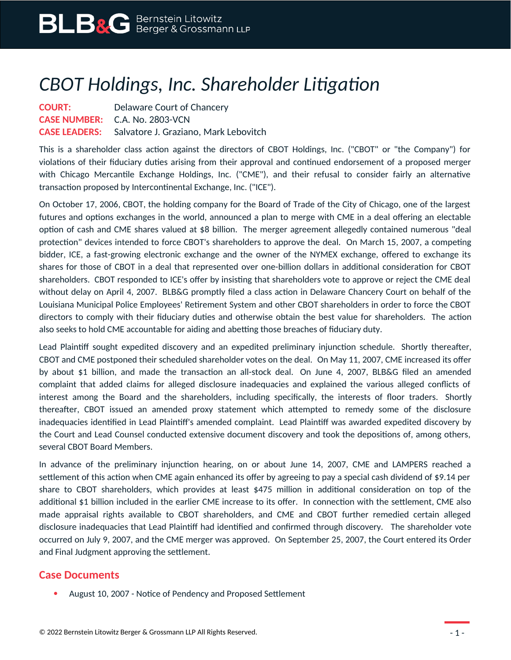## *CBOT Holdings, Inc. Shareholder Litigation*

**COURT:** Delaware Court of Chancery **CASE NUMBER:** C.A. No. 2803-VCN **CASE LEADERS:** Salvatore J. Graziano, Mark Lebovitch

This is a shareholder class action against the directors of CBOT Holdings, Inc. ("CBOT" or "the Company") for violations of their fiduciary duties arising from their approval and continued endorsement of a proposed merger with Chicago Mercantile Exchange Holdings, Inc. ("CME"), and their refusal to consider fairly an alternative transaction proposed by Intercontinental Exchange, Inc. ("ICE").

On October 17, 2006, CBOT, the holding company for the Board of Trade of the City of Chicago, one of the largest futures and options exchanges in the world, announced a plan to merge with CME in a deal offering an electable option of cash and CME shares valued at \$8 billion. The merger agreement allegedly contained numerous "deal protection" devices intended to force CBOT's shareholders to approve the deal. On March 15, 2007, a competing bidder, ICE, a fast-growing electronic exchange and the owner of the NYMEX exchange, offered to exchange its shares for those of CBOT in a deal that represented over one-billion dollars in additional consideration for CBOT shareholders. CBOT responded to ICE's offer by insisting that shareholders vote to approve or reject the CME deal without delay on April 4, 2007. BLB&G promptly filed a class action in Delaware Chancery Court on behalf of the Louisiana Municipal Police Employees' Retirement System and other CBOT shareholders in order to force the CBOT directors to comply with their fiduciary duties and otherwise obtain the best value for shareholders. The action also seeks to hold CME accountable for aiding and abetting those breaches of fiduciary duty.

Lead Plaintiff sought expedited discovery and an expedited preliminary injunction schedule. Shortly thereafter, CBOT and CME postponed their scheduled shareholder votes on the deal. On May 11, 2007, CME increased its offer by about \$1 billion, and made the transaction an all-stock deal. On June 4, 2007, BLB&G filed an amended complaint that added claims for alleged disclosure inadequacies and explained the various alleged conflicts of interest among the Board and the shareholders, including specifically, the interests of floor traders. Shortly thereafter, CBOT issued an amended proxy statement which attempted to remedy some of the disclosure inadequacies identified in Lead Plaintiff's amended complaint. Lead Plaintiff was awarded expedited discovery by the Court and Lead Counsel conducted extensive document discovery and took the depositions of, among others, several CBOT Board Members.

In advance of the preliminary injunction hearing, on or about June 14, 2007, CME and LAMPERS reached a settlement of this action when CME again enhanced its offer by agreeing to pay a special cash dividend of \$9.14 per share to CBOT shareholders, which provides at least \$475 million in additional consideration on top of the additional \$1 billion included in the earlier CME increase to its offer. In connection with the settlement, CME also made appraisal rights available to CBOT shareholders, and CME and CBOT further remedied certain alleged disclosure inadequacies that Lead Plaintiff had identified and confirmed through discovery. The shareholder vote occurred on July 9, 2007, and the CME merger was approved. On September 25, 2007, the Court entered its Order and Final Judgment approving the settlement.

## **Case Documents**

August 10, 2007 - Notice of Pendency and Proposed Settlement